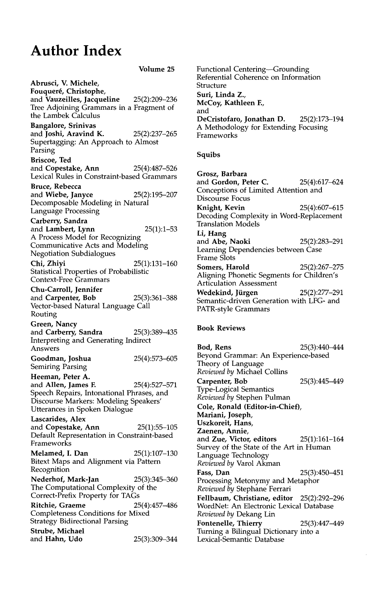## **Author Index**

**Volume 25 Abrusci, V. Michele,**  Fouqueré, Christophe, and **Vauzeilles, Jacqueline** 25(2):209-236 Tree Adjoining Grammars in a Fragment of the Lambek Calculus **Bangalore, Srinivas**  and **Joshi, Aravind K.** 25(2):237-265 Supertagging: An Approach to Almost Parsing **Briscoe, Ted**  and **Copestake, Ann** 25(4):487-526 Lexical Rules in Constraint-based Grammars **Bruce, Rebecca**  and Wiebe, Janyce 25(2):195-207 Decomposable Modeling in Natural Language Processing Carberry, **Sandra**  and Lambert, Lynn  $25(1):1-53$ A Process Model for Recognizing Communicative Acts and Modeling Negotiation Subdialogues Chi, Zhiyi 25(1):131-160 Statistical Properties of Probabilistic Context-Free Grammars **Chu-Carroll, Jennifer**  and Carpenter, Bob 25(3):361-388 Vector-based Natural Language Call Routing **Green,** Nancy and Carberry, Sandra 25(3):389-435 Interpreting and Generating Indirect Answers **Goodman, Joshua** 25(4):573-605 Semiring Parsing **Heeman, Peter A.**  and Allen, James F. 25(4):527-571 Speech Repairs, Intonational Phrases, and Discourse Markers: Modeling Speakers' Utterances in Spoken Dialogue **Lascarides,** Alex and **Copestake, Ann** 25(1):55-105 Default Representation in Constraint-based **Frameworks Melamed, I. Dan** 25(1):107-130 Bitext Maps and Alignment via Pattern Recognition **Nederhof, Mark-Jan** 25(3):345-360 The Computational Complexity of the Correct-Prefix Property for TAGs **Ritchie, Graeme** 25(4):457-486 Completeness Conditions for Mixed Strategy Bidirectional Parsing **Strube, Michael**  and Hahn, Udo 25(3):309-344

Functional Centering--Grounding Referential Coherence on Information Structure **Suri, Linda Z.,**  McCoy, **Kathleen** E, and **DeCristofaro, Jonathan** D. 25(2):173-194 A Methodology for Extending Focusing Frameworks

## **Squibs**

**Grosz, Barbara**  and **Gordon, Peter** C. 25(4):617~24 Conceptions of Limited Attention and Discourse Focus Knight, Kevin 25(4):607-615 Decoding Complexity in Word-Replacement Translation Models **Li, Hang**  and Abe, Naoki 25(2):283-291 Learning Dependencies between Case Frame Slots **Somers, Harold** 25(2):267-275 Aligning Phonetic Segments for Children's Articulation Assessment **Wedekind, Jiirgen** 25(2):277-291 Semantic-driven Generation with LFG- and PATR-style Grammars

## **Book Reviews**

**Bod, Rens** 25(3):440-444 Beyond Grammar: An Experience-based Theory of Language *Reviewed by* Michael Collins **Carpenter,** Bob 25(3):445-449 Type-Logical Semantics *Reviewed by* Stephen Pulman Cole, Ronald (Editor-in-Chief), **Mariani,** Joseph, **Uszkoreit, Hans, Zaenen, Annie,**  and Zue, **Victor, editors** 25(1):161-164 Survey of the State of the Art in Human Language Technology *Reviewed by* Varol Akman **Fass, Dan** 25(3):450-451 Processing Metonymy and Metaphor *Reviewed by* Stephane Ferrari **Fellbaum, Christiane, editor** 25(2):292-296 WordNet: An Electronic Lexical Database *Reviewed by* Dekang Lin **Fontenelle,** Thierry 25(3):447-449 Turning a Bilingual Dictionary into a Lexical-Semantic Database